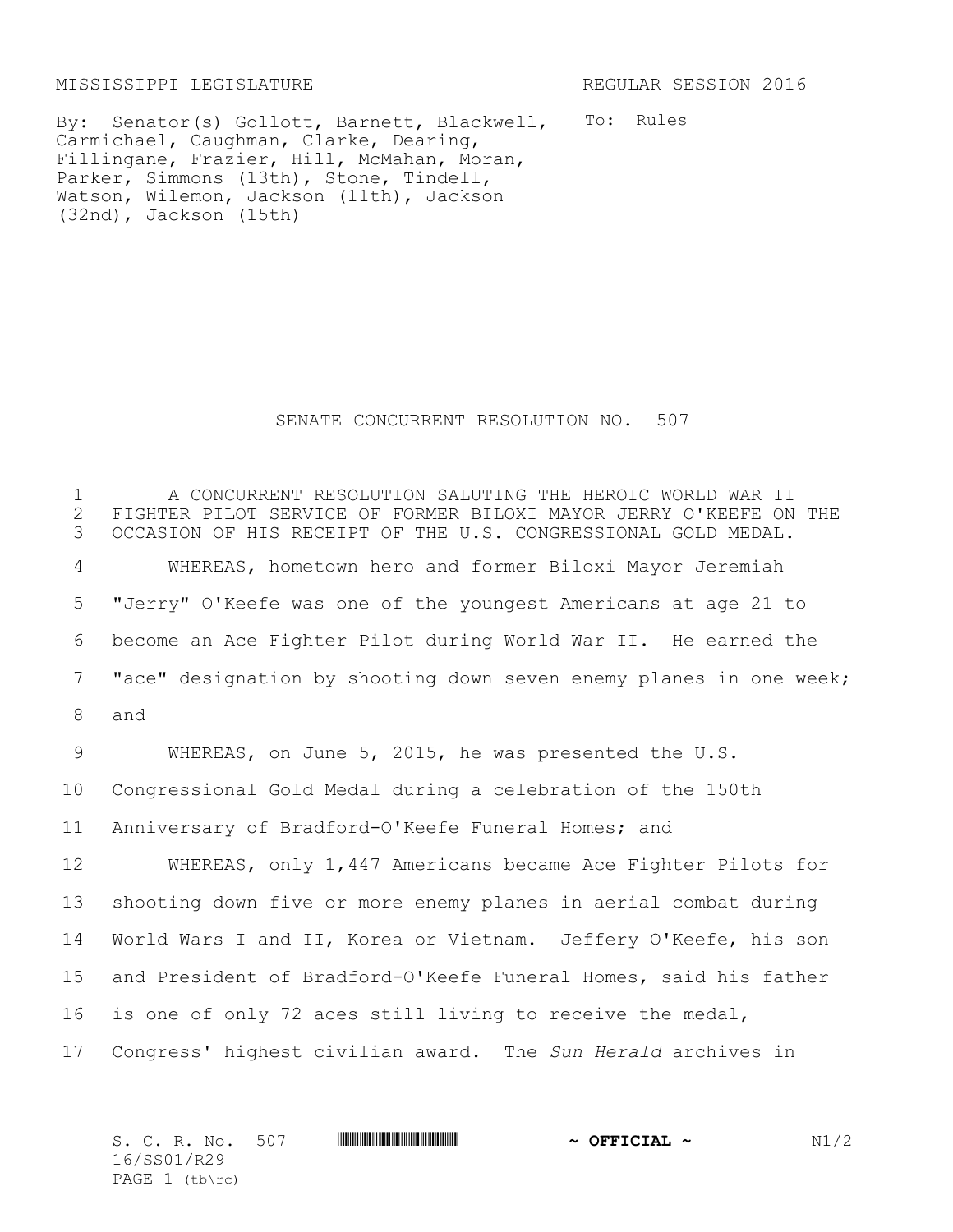MISSISSIPPI LEGISLATURE REGULAR SESSION 2016

By: Senator(s) Gollott, Barnett, Blackwell, To: Rules Carmichael, Caughman, Clarke, Dearing, Fillingane, Frazier, Hill, McMahan, Moran, Parker, Simmons (13th), Stone, Tindell, Watson, Wilemon, Jackson (11th), Jackson (32nd), Jackson (15th)

## SENATE CONCURRENT RESOLUTION NO. 507

 A CONCURRENT RESOLUTION SALUTING THE HEROIC WORLD WAR II 2 FIGHTER PILOT SERVICE OF FORMER BILOXI MAYOR JERRY O'KEEFE ON THE 3 OCCASION OF HIS RECEIPT OF THE U.S. CONGRESSIONAL GOLD MEDAL. OCCASION OF HIS RECEIPT OF THE U.S. CONGRESSIONAL GOLD MEDAL. WHEREAS, hometown hero and former Biloxi Mayor Jeremiah "Jerry" O'Keefe was one of the youngest Americans at age 21 to become an Ace Fighter Pilot during World War II. He earned the "ace" designation by shooting down seven enemy planes in one week; and WHEREAS, on June 5, 2015, he was presented the U.S. Congressional Gold Medal during a celebration of the 150th Anniversary of Bradford-O'Keefe Funeral Homes; and WHEREAS, only 1,447 Americans became Ace Fighter Pilots for shooting down five or more enemy planes in aerial combat during World Wars I and II, Korea or Vietnam. Jeffery O'Keefe, his son and President of Bradford-O'Keefe Funeral Homes, said his father is one of only 72 aces still living to receive the medal, Congress' highest civilian award. The *Sun Herald* archives in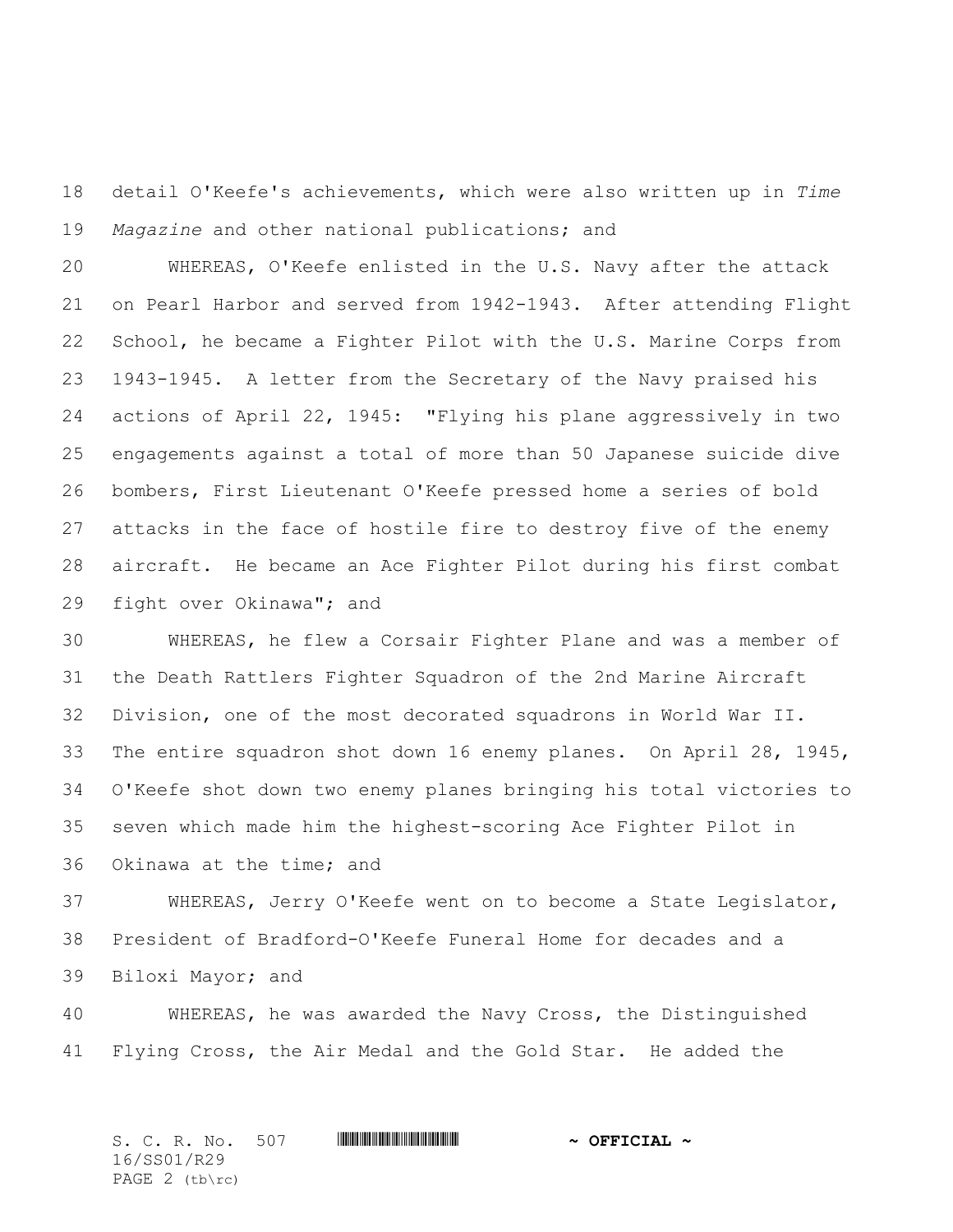detail O'Keefe's achievements, which were also written up in *Time Magazine* and other national publications; and

 WHEREAS, O'Keefe enlisted in the U.S. Navy after the attack on Pearl Harbor and served from 1942-1943. After attending Flight School, he became a Fighter Pilot with the U.S. Marine Corps from 1943-1945. A letter from the Secretary of the Navy praised his actions of April 22, 1945: "Flying his plane aggressively in two engagements against a total of more than 50 Japanese suicide dive bombers, First Lieutenant O'Keefe pressed home a series of bold attacks in the face of hostile fire to destroy five of the enemy aircraft. He became an Ace Fighter Pilot during his first combat fight over Okinawa"; and

 WHEREAS, he flew a Corsair Fighter Plane and was a member of the Death Rattlers Fighter Squadron of the 2nd Marine Aircraft Division, one of the most decorated squadrons in World War II. The entire squadron shot down 16 enemy planes. On April 28, 1945, O'Keefe shot down two enemy planes bringing his total victories to seven which made him the highest-scoring Ace Fighter Pilot in Okinawa at the time; and

 WHEREAS, Jerry O'Keefe went on to become a State Legislator, President of Bradford-O'Keefe Funeral Home for decades and a Biloxi Mayor; and

 WHEREAS, he was awarded the Navy Cross, the Distinguished Flying Cross, the Air Medal and the Gold Star. He added the

S. C. R. No. 507 \*SS01/R29\* **~ OFFICIAL ~** 16/SS01/R29 PAGE (tb\rc)